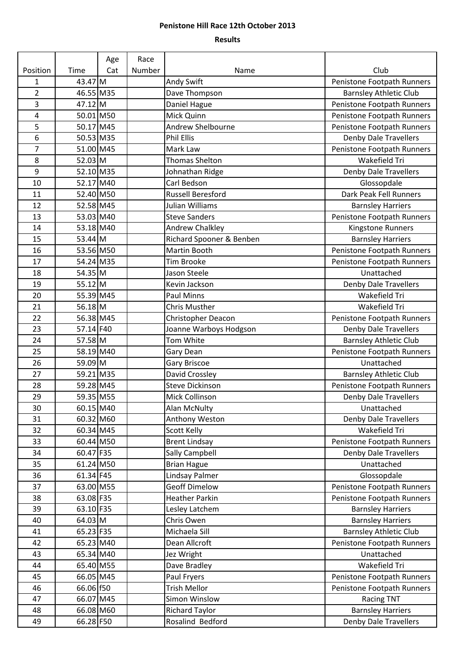## **Penistone Hill Race 12th October 2013**

## **Results**

|                |           | Age | Race   |                          |                               |
|----------------|-----------|-----|--------|--------------------------|-------------------------------|
| Position       | Time      | Cat | Number | Name                     | Club                          |
| 1              | 43.47 M   |     |        | Andy Swift               | Penistone Footpath Runners    |
| $\overline{2}$ | 46.55 M35 |     |        | Dave Thompson            | <b>Barnsley Athletic Club</b> |
| 3              | $47.12$ M |     |        | Daniel Hague             | Penistone Footpath Runners    |
| 4              | 50.01 M50 |     |        | Mick Quinn               | Penistone Footpath Runners    |
| 5              | 50.17 M45 |     |        | Andrew Shelbourne        | Penistone Footpath Runners    |
| 6              | 50.53 M35 |     |        | <b>Phil Ellis</b>        | <b>Denby Dale Travellers</b>  |
| 7              | 51.00 M45 |     |        | Mark Law                 | Penistone Footpath Runners    |
| 8              | 52.03 M   |     |        | <b>Thomas Shelton</b>    | Wakefield Tri                 |
| 9              | 52.10 M35 |     |        | Johnathan Ridge          | Denby Dale Travellers         |
| 10             | 52.17 M40 |     |        | Carl Bedson              | Glossopdale                   |
| 11             | 52.40 M50 |     |        | <b>Russell Beresford</b> | Dark Peak Fell Runners        |
| 12             | 52.58 M45 |     |        | Julian Williams          | <b>Barnsley Harriers</b>      |
| 13             | 53.03 M40 |     |        | <b>Steve Sanders</b>     | Penistone Footpath Runners    |
| 14             | 53.18 M40 |     |        | <b>Andrew Chalkley</b>   | Kingstone Runners             |
| 15             | $53.44$ M |     |        | Richard Spooner & Benben | <b>Barnsley Harriers</b>      |
| 16             | 53.56 M50 |     |        | Martin Booth             | Penistone Footpath Runners    |
| 17             | 54.24 M35 |     |        | Tim Brooke               | Penistone Footpath Runners    |
| 18             | 54.35 M   |     |        | Jason Steele             | Unattached                    |
| 19             | $55.12$ M |     |        | Kevin Jackson            | Denby Dale Travellers         |
| 20             | 55.39 M45 |     |        | <b>Paul Minns</b>        | Wakefield Tri                 |
| 21             | $56.18$ M |     |        | <b>Chris Musther</b>     | Wakefield Tri                 |
| 22             | 56.38 M45 |     |        | Christopher Deacon       | Penistone Footpath Runners    |
| 23             | 57.14 F40 |     |        | Joanne Warboys Hodgson   | <b>Denby Dale Travellers</b>  |
| 24             | 57.58 M   |     |        | Tom White                | <b>Barnsley Athletic Club</b> |
| 25             | 58.19 M40 |     |        | Gary Dean                | Penistone Footpath Runners    |
| 26             | 59.09 M   |     |        | Gary Briscoe             | Unattached                    |
| 27             | 59.21 M35 |     |        | David Crossley           | <b>Barnsley Athletic Club</b> |
| 28             | 59.28 M45 |     |        | <b>Steve Dickinson</b>   | Penistone Footpath Runners    |
| 29             | 59.35 M55 |     |        | Mick Collinson           | <b>Denby Dale Travellers</b>  |
| 30             | 60.15 M40 |     |        | Alan McNulty             | Unattached                    |
| 31             | 60.32 M60 |     |        | Anthony Weston           | Denby Dale Travellers         |
| 32             | 60.34 M45 |     |        | Scott Kelly              | Wakefield Tri                 |
| 33             | 60.44 M50 |     |        | <b>Brent Lindsay</b>     | Penistone Footpath Runners    |
| 34             | 60.47 F35 |     |        | Sally Campbell           | Denby Dale Travellers         |
| 35             | 61.24 M50 |     |        | <b>Brian Hague</b>       | Unattached                    |
| 36             | 61.34 F45 |     |        | Lindsay Palmer           | Glossopdale                   |
| 37             | 63.00 M55 |     |        | <b>Geoff Dimelow</b>     | Penistone Footpath Runners    |
| 38             | 63.08 F35 |     |        | <b>Heather Parkin</b>    | Penistone Footpath Runners    |
| 39             | 63.10 F35 |     |        | Lesley Latchem           | <b>Barnsley Harriers</b>      |
| 40             | 64.03 M   |     |        | Chris Owen               | <b>Barnsley Harriers</b>      |
| 41             | 65.23 F35 |     |        | Michaela Sill            | <b>Barnsley Athletic Club</b> |
| 42             | 65.23 M40 |     |        | Dean Allcroft            | Penistone Footpath Runners    |
| 43             | 65.34 M40 |     |        | Jez Wright               | Unattached                    |
| 44             | 65.40 M55 |     |        | Dave Bradley             | Wakefield Tri                 |
| 45             | 66.05 M45 |     |        | Paul Fryers              | Penistone Footpath Runners    |
| 46             | 66.06 f50 |     |        | Trish Mellor             | Penistone Footpath Runners    |
| 47             | 66.07 M45 |     |        | Simon Winslow            | <b>Racing TNT</b>             |
| 48             | 66.08 M60 |     |        | <b>Richard Taylor</b>    | <b>Barnsley Harriers</b>      |
| 49             | 66.28 F50 |     |        | Rosalind Bedford         | Denby Dale Travellers         |